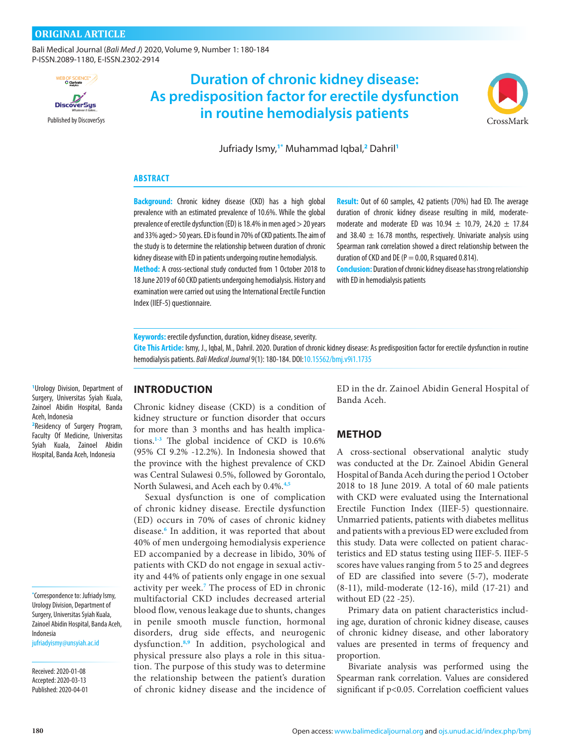[Bali Medical Journal](http://www.balimedicaljournal.org/) (*Bali Med J*) 2020, Volume 9, Number 1: 180-184 P-ISSN.2089-1180, E-ISSN.2302-2914



# [Published by DiscoverSys](http://discoversys.ca/) [CrossMark](http://crossmark.crossref.org/dialog/?doi=10.15562/bmj.v5i3.314&domain=pdf) **Duration of chronic kidney disease: As predisposition factor for erectile dysfunction in routine hemodialysis patients**



Jufriady Ismy,**1\*** Muhammad Iqbal,**<sup>2</sup>** Dahril**<sup>1</sup>**

#### **ABSTRACT**

**Background:** Chronic kidney disease (CKD) has a high global prevalence with an estimated prevalence of 10.6%. While the global prevalence of erectile dysfunction (ED) is 18.4% in men aged > 20 years and 33% aged> 50 years. ED is found in 70% of CKD patients. The aim of the study is to determine the relationship between duration of chronic kidney disease with ED in patients undergoing routine hemodialysis. **Method:** A cross-sectional study conducted from 1 October 2018 to

18 June 2019 of 60 CKD patients undergoing hemodialysis. History and examination were carried out using the International Erectile Function Index (IIEF-5) questionnaire.

**Result:** Out of 60 samples, 42 patients (70%) had ED. The average duration of chronic kidney disease resulting in mild, moderatemoderate and moderate ED was  $10.94 \pm 10.79$ , 24.20  $\pm$  17.84 and 38.40  $\pm$  16.78 months, respectively. Univariate analysis using Spearman rank correlation showed a direct relationship between the duration of CKD and DE ( $P = 0.00$ , R squared 0.814).

**Conclusion:** Duration of chronic kidney disease has strong relationship with ED in hemodialysis patients

**Keywords:** erectile dysfunction, duration, kidney disease, severity.

**Cite This Article:** Ismy, J., Iqbal, M., Dahril. 2020. Duration of chronic kidney disease: As predisposition factor for erectile dysfunction in routine hemodialysis patients. *Bali Medical Journal* 9(1): 180-184. DOI:10.15562/bmj.v9i1.1735

**1** Urology Division, Department of Surgery, Universitas Syiah Kuala, Zainoel Abidin Hospital, Banda Aceh, Indonesia

**2** Residency of Surgery Program, Faculty Of Medicine, Universitas Syiah Kuala, Zainoel Abidin Hospital, Banda Aceh, Indonesia

**\*** Correspondence to: Jufriady Ismy, Urology Division, Department of Surgery, Universitas Syiah Kuala, Zainoel Abidin Hospital, Banda Aceh, Indonesia

[jufriadyismy@unsyiah.ac.id](mailto:jufriadyismy@unsyiah.ac.id)

Received: 2020-01-08 Accepted: 2020-03-13 Published: 2020-04-01

## **INTRODUCTION**

Chronic kidney disease (CKD) is a condition of kidney structure or function disorder that occurs for more than 3 months and has health implications.**1-3** The global incidence of CKD is 10.6% (95% CI 9.2% -12.2%). In Indonesia showed that the province with the highest prevalence of CKD was Central Sulawesi 0.5%, followed by Gorontalo, North Sulawesi, and Aceh each by 0.4%.**4,5**

Sexual dysfunction is one of complication of chronic kidney disease. Erectile dysfunction (ED) occurs in 70% of cases of chronic kidney disease.**<sup>6</sup>** In addition, it was reported that about 40% of men undergoing hemodialysis experience ED accompanied by a decrease in libido, 30% of patients with CKD do not engage in sexual activity and 44% of patients only engage in one sexual activity per week.**<sup>7</sup>** The process of ED in chronic multifactorial CKD includes decreased arterial blood flow, venous leakage due to shunts, changes in penile smooth muscle function, hormonal disorders, drug side effects, and neurogenic dysfunction.**8,9** In addition, psychological and physical pressure also plays a role in this situation. The purpose of this study was to determine the relationship between the patient's duration of chronic kidney disease and the incidence of ED in the dr. Zainoel Abidin General Hospital of Banda Aceh.

# **METHOD**

A cross-sectional observational analytic study was conducted at the Dr. Zainoel Abidin General Hospital of Banda Aceh during the period 1 October 2018 to 18 June 2019. A total of 60 male patients with CKD were evaluated using the International Erectile Function Index (IIEF-5) questionnaire. Unmarried patients, patients with diabetes mellitus and patients with a previous ED were excluded from this study. Data were collected on patient characteristics and ED status testing using IIEF-5. IIEF-5 scores have values ranging from 5 to 25 and degrees of ED are classified into severe (5-7), moderate (8-11), mild-moderate (12-16), mild (17-21) and without ED (22 -25).

Primary data on patient characteristics including age, duration of chronic kidney disease, causes of chronic kidney disease, and other laboratory values are presented in terms of frequency and proportion.

Bivariate analysis was performed using the Spearman rank correlation. Values are considered significant if p<0.05. Correlation coefficient values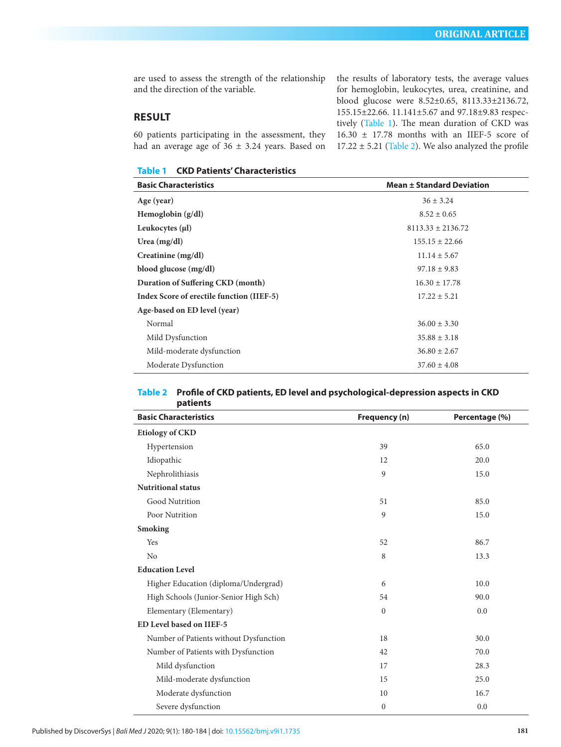are used to assess the strength of the relationship and the direction of the variable.

# **RESULT**

60 patients participating in the assessment, they had an average age of  $36 \pm 3.24$  years. Based on

**Table 1 CKD Patients' Characteristics**

the results of laboratory tests, the average values for hemoglobin, leukocytes, urea, creatinine, and blood glucose were 8.52±0.65, 8113.33±2136.72, 155.15±22.66. 11.141±5.67 and 97.18±9.83 respectively (Table 1). The mean duration of CKD was 16.30 ± 17.78 months with an IIEF-5 score of  $17.22 \pm 5.21$  (Table 2). We also analyzed the profile

| <b>Basic Characteristics</b>              | <b>Mean ± Standard Deviation</b> |  |  |
|-------------------------------------------|----------------------------------|--|--|
| Age (year)                                | $36 \pm 3.24$                    |  |  |
| Hemoglobin $(g/dl)$                       | $8.52 \pm 0.65$                  |  |  |
| Leukocytes $(\mu\mathbf{l})$              | $8113.33 \pm 2136.72$            |  |  |
| Urea $(mg/dl)$                            | $155.15 \pm 22.66$               |  |  |
| Creatinine $(mg/dl)$                      | $11.14 \pm 5.67$                 |  |  |
| blood glucose (mg/dl)                     | $97.18 \pm 9.83$                 |  |  |
| Duration of Suffering CKD (month)         | $16.30 \pm 17.78$                |  |  |
| Index Score of erectile function (IIEF-5) | $17.22 \pm 5.21$                 |  |  |
| Age-based on ED level (year)              |                                  |  |  |
| Normal                                    | $36.00 \pm 3.30$                 |  |  |
| Mild Dysfunction                          | $35.88 \pm 3.18$                 |  |  |
| Mild-moderate dysfunction                 | $36.80 \pm 2.67$                 |  |  |
| Moderate Dysfunction                      | $37.60 \pm 4.08$                 |  |  |

#### **Table 2 Profile of CKD patients, ED level and psychological-depression aspects in CKD patients**

| <b>Basic Characteristics</b>           | Frequency (n)  | Percentage (%) |  |  |
|----------------------------------------|----------------|----------------|--|--|
| <b>Etiology of CKD</b>                 |                |                |  |  |
| Hypertension                           | 39             | 65.0           |  |  |
| Idiopathic                             | 12             | 20.0           |  |  |
| Nephrolithiasis                        | 9              | 15.0           |  |  |
| <b>Nutritional status</b>              |                |                |  |  |
| Good Nutrition                         | 51             | 85.0           |  |  |
| Poor Nutrition                         | $\overline{9}$ | 15.0           |  |  |
| <b>Smoking</b>                         |                |                |  |  |
| Yes                                    | 52             | 86.7           |  |  |
| No                                     | 8              | 13.3           |  |  |
| <b>Education Level</b>                 |                |                |  |  |
| Higher Education (diploma/Undergrad)   | 6              | 10.0           |  |  |
| High Schools (Junior-Senior High Sch)  | 54             | 90.0           |  |  |
| Elementary (Elementary)                | $\mathbf{0}$   | 0.0            |  |  |
| <b>ED Level based on IIEF-5</b>        |                |                |  |  |
| Number of Patients without Dysfunction | 18             | 30.0           |  |  |
| Number of Patients with Dysfunction    | 42             | 70.0           |  |  |
| Mild dysfunction                       | 17             | 28.3           |  |  |
| Mild-moderate dysfunction              | 15             | 25.0           |  |  |
| Moderate dysfunction                   | 10             | 16.7           |  |  |
| Severe dysfunction                     | $\mathbf{0}$   | 0.0            |  |  |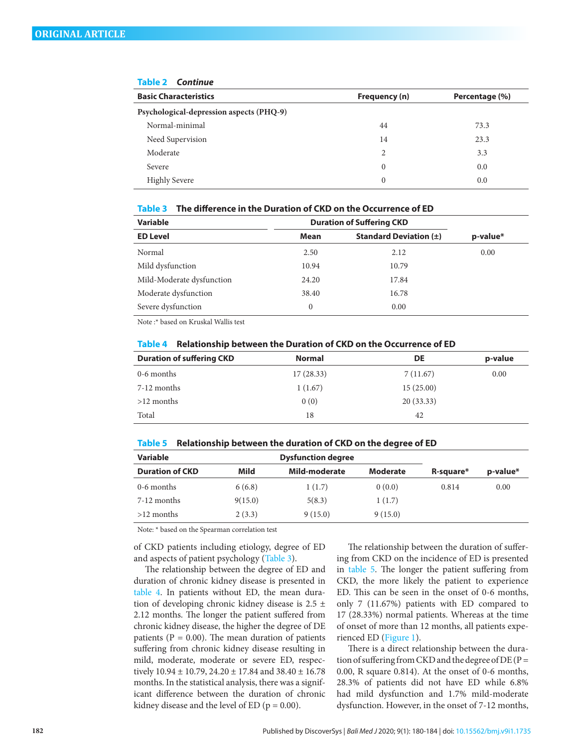| <b>Basic Characteristics</b>             | Frequency (n) | Percentage (%) |
|------------------------------------------|---------------|----------------|
| Psychological-depression aspects (PHQ-9) |               |                |
| Normal-minimal                           | 44            | 73.3           |
| Need Supervision                         | 14            | 23.3           |
| Moderate                                 | 2             | 3.3            |
| Severe                                   | 0             | 0.0            |
| <b>Highly Severe</b>                     | 0             | 0.0            |

#### **Table 2** *Continue*

#### **Table 3 The difference in the Duration of CKD on the Occurrence of ED**

| <b>Variable</b>           | <b>Duration of Suffering CKD</b>   |       |          |  |
|---------------------------|------------------------------------|-------|----------|--|
| <b>ED Level</b>           | Standard Deviation $(\pm)$<br>Mean |       | p-value* |  |
| Normal                    | 2.50                               | 2.12  | 0.00     |  |
| Mild dysfunction          | 10.94                              | 10.79 |          |  |
| Mild-Moderate dysfunction | 24.20                              | 17.84 |          |  |
| Moderate dysfunction      | 38.40                              | 16.78 |          |  |
| Severe dysfunction        | $\theta$                           | 0.00  |          |  |
|                           |                                    |       |          |  |

Note :\* based on Kruskal Wallis test

| <b>Duration of suffering CKD</b> | <b>Normal</b> | DE        | p-value |
|----------------------------------|---------------|-----------|---------|
| 0-6 months                       | 17(28.33)     | 7(11.67)  | 0.00    |
| 7-12 months                      | 1(1.67)       | 15(25.00) |         |
| $>12$ months                     | 0(0)          | 20(33.33) |         |
| Total                            | 18            | 42        |         |

#### **Table 4 Relationship between the Duration of CKD on the Occurrence of ED**

#### **Table 5 Relationship between the duration of CKD on the degree of ED**

| Variable               |         | <b>Dysfunction degree</b> |                 |           |          |
|------------------------|---------|---------------------------|-----------------|-----------|----------|
| <b>Duration of CKD</b> | Mild    | Mild-moderate             | <b>Moderate</b> | R-square* | p-value* |
| 0-6 months             | 6(6.8)  | 1(1.7)                    | 0(0.0)          | 0.814     | 0.00     |
| 7-12 months            | 9(15.0) | 5(8.3)                    | 1(1.7)          |           |          |
| $>12$ months           | 2(3.3)  | 9(15.0)                   | 9(15.0)         |           |          |

Note: \* based on the Spearman correlation test

of CKD patients including etiology, degree of ED and aspects of patient psychology (Table 3).

The relationship between the degree of ED and duration of chronic kidney disease is presented in table 4. In patients without ED, the mean duration of developing chronic kidney disease is  $2.5 \pm$ 2.12 months. The longer the patient suffered from chronic kidney disease, the higher the degree of DE patients ( $P = 0.00$ ). The mean duration of patients suffering from chronic kidney disease resulting in mild, moderate, moderate or severe ED, respectively  $10.94 \pm 10.79$ ,  $24.20 \pm 17.84$  and  $38.40 \pm 16.78$ months. In the statistical analysis, there was a significant difference between the duration of chronic kidney disease and the level of ED ( $p = 0.00$ ).

The relationship between the duration of suffering from CKD on the incidence of ED is presented in table 5. The longer the patient suffering from CKD, the more likely the patient to experience ED. This can be seen in the onset of 0-6 months, only 7 (11.67%) patients with ED compared to 17 (28.33%) normal patients. Whereas at the time of onset of more than 12 months, all patients experienced ED (Figure 1).

There is a direct relationship between the duration of suffering from CKD and the degree of DE ( $P =$ 0.00, R square 0.814). At the onset of 0-6 months, 28.3% of patients did not have ED while 6.8% had mild dysfunction and 1.7% mild-moderate dysfunction. However, in the onset of 7-12 months,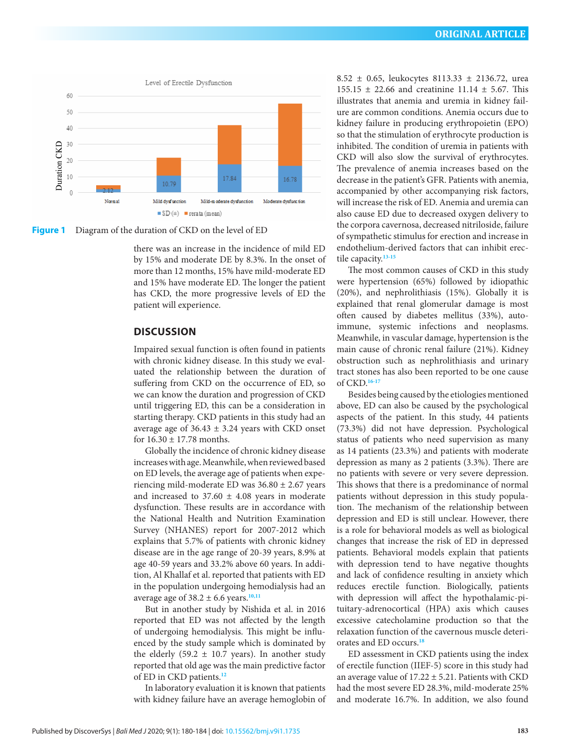

**Figure 1** Diagram of the duration of CKD on the level of ED

there was an increase in the incidence of mild ED by 15% and moderate DE by 8.3%. In the onset of more than 12 months, 15% have mild-moderate ED and 15% have moderate ED. The longer the patient has CKD, the more progressive levels of ED the patient will experience.

### **DISCUSSION**

Impaired sexual function is often found in patients with chronic kidney disease. In this study we evaluated the relationship between the duration of suffering from CKD on the occurrence of ED, so we can know the duration and progression of CKD until triggering ED, this can be a consideration in starting therapy. CKD patients in this study had an average age of  $36.43 \pm 3.24$  years with CKD onset for  $16.30 \pm 17.78$  months.

Globally the incidence of chronic kidney disease increases with age. Meanwhile, when reviewed based on ED levels, the average age of patients when experiencing mild-moderate ED was 36.80 ± 2.67 years and increased to  $37.60 \pm 4.08$  years in moderate dysfunction. These results are in accordance with the National Health and Nutrition Examination Survey (NHANES) report for 2007-2012 which explains that 5.7% of patients with chronic kidney disease are in the age range of 20-39 years, 8.9% at age 40-59 years and 33.2% above 60 years. In addition, Al Khallaf et al. reported that patients with ED in the population undergoing hemodialysis had an average age of  $38.2 \pm 6.6$  years.<sup>10,11</sup>

But in another study by Nishida et al. in 2016 reported that ED was not affected by the length of undergoing hemodialysis. This might be influenced by the study sample which is dominated by the elderly (59.2  $\pm$  10.7 years). In another study reported that old age was the main predictive factor of ED in CKD patients.**<sup>12</sup>**

In laboratory evaluation it is known that patients with kidney failure have an average hemoglobin of 8.52 ± 0.65, leukocytes 8113.33 ± 2136.72, urea 155.15  $\pm$  22.66 and creatinine 11.14  $\pm$  5.67. This illustrates that anemia and uremia in kidney failure are common conditions. Anemia occurs due to kidney failure in producing erythropoietin (EPO) so that the stimulation of erythrocyte production is inhibited. The condition of uremia in patients with CKD will also slow the survival of erythrocytes. The prevalence of anemia increases based on the decrease in the patient's GFR. Patients with anemia, accompanied by other accompanying risk factors, will increase the risk of ED. Anemia and uremia can also cause ED due to decreased oxygen delivery to the corpora cavernosa, decreased nitriloside, failure of sympathetic stimulus for erection and increase in endothelium-derived factors that can inhibit erectile capacity.**13-15**

The most common causes of CKD in this study were hypertension (65%) followed by idiopathic (20%), and nephrolithiasis (15%). Globally it is explained that renal glomerular damage is most often caused by diabetes mellitus (33%), autoimmune, systemic infections and neoplasms. Meanwhile, in vascular damage, hypertension is the main cause of chronic renal failure (21%). Kidney obstruction such as nephrolithiasis and urinary tract stones has also been reported to be one cause of CKD.**16-17**

Besides being caused by the etiologies mentioned above, ED can also be caused by the psychological aspects of the patient. In this study, 44 patients (73.3%) did not have depression. Psychological status of patients who need supervision as many as 14 patients (23.3%) and patients with moderate depression as many as 2 patients (3.3%). There are no patients with severe or very severe depression. This shows that there is a predominance of normal patients without depression in this study population. The mechanism of the relationship between depression and ED is still unclear. However, there is a role for behavioral models as well as biological changes that increase the risk of ED in depressed patients. Behavioral models explain that patients with depression tend to have negative thoughts and lack of confidence resulting in anxiety which reduces erectile function. Biologically, patients with depression will affect the hypothalamic-pituitary-adrenocortical (HPA) axis which causes excessive catecholamine production so that the relaxation function of the cavernous muscle deteriorates and ED occurs.**<sup>18</sup>**

ED assessment in CKD patients using the index of erectile function (IIEF-5) score in this study had an average value of  $17.22 \pm 5.21$ . Patients with CKD had the most severe ED 28.3%, mild-moderate 25% and moderate 16.7%. In addition, we also found